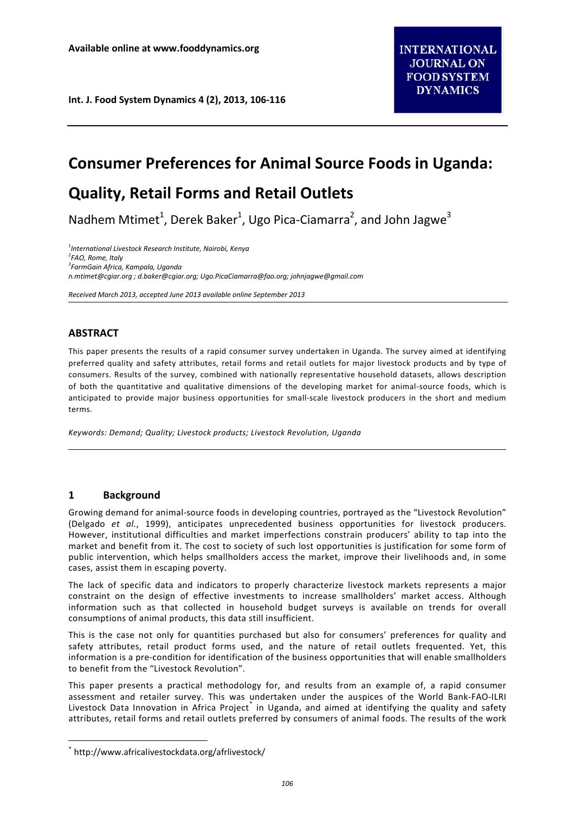**Int. J. Food System Dynamics 4 (2), 2013, 106-116**

# **Consumer Preferences for Animal Source Foods in Uganda:**

## **Quality, Retail Forms and Retail Outlets**

Nadhem Mtimet<sup>1</sup>, Derek Baker<sup>1</sup>, Ugo Pica-Ciamarra<sup>2</sup>, and John Jagwe<sup>3</sup>

1 *International Livestock Research Institute, Nairobi, Kenya <sup>2</sup> FAO, Rome, Italy 3 FarmGain Africa, Kampala, Uganda [n.mtimet@cgiar.org](mailto:n.mtimet@cgiar.org) [; d.baker@cgiar.org;](mailto:d.baker@cgiar.org) [Ugo.PicaCiamarra@fao.org;](mailto:Ugo.PicaCiamarra@fao.org) [johnjagwe@gmail.com](mailto:johnjagwe@gmail.com)*

*Received March 2013, accepted June 2013 available online September 2013*

## **ABSTRACT**

This paper presents the results of a rapid consumer survey undertaken in Uganda. The survey aimed at identifying preferred quality and safety attributes, retail forms and retail outlets for major livestock products and by type of consumers. Results of the survey, combined with nationally representative household datasets, allows description of both the quantitative and qualitative dimensions of the developing market for animal-source foods, which is anticipated to provide major business opportunities for small-scale livestock producers in the short and medium terms.

*Keywords: Demand; Quality; Livestock products; Livestock Revolution, Uganda*

## **1 Background**

Growing demand for animal-source foods in developing countries, portrayed as the "Livestock Revolution" (Delgado *et al.*, 1999), anticipates unprecedented business opportunities for livestock producers. However, institutional difficulties and market imperfections constrain producers' ability to tap into the market and benefit from it. The cost to society of such lost opportunities is justification for some form of public intervention, which helps smallholders access the market, improve their livelihoods and, in some cases, assist them in escaping poverty.

The lack of specific data and indicators to properly characterize livestock markets represents a major constraint on the design of effective investments to increase smallholders' market access. Although information such as that collected in household budget surveys is available on trends for overall consumptions of animal products, this data still insufficient.

This is the case not only for quantities purchased but also for consumers' preferences for quality and safety attributes, retail product forms used, and the nature of retail outlets frequented. Yet, this information is a pre-condition for identification of the business opportunities that will enable smallholders to benefit from the "Livestock Revolution".

This paper presents a practical methodology for, and results from an example of, a rapid consumer assessment and retailer survey. This was undertaken under the auspices of the World Bank-FAO-ILRI Livestock Data Innovation in Africa Project in Uganda, and aimed at identifying the quality and safety attributes, retail forms and retail outlets preferred by consumers of animal foods. The results of the work

<span id="page-0-0"></span> <sup>\*</sup> http://www.africalivestockdata.org/afrlivestock/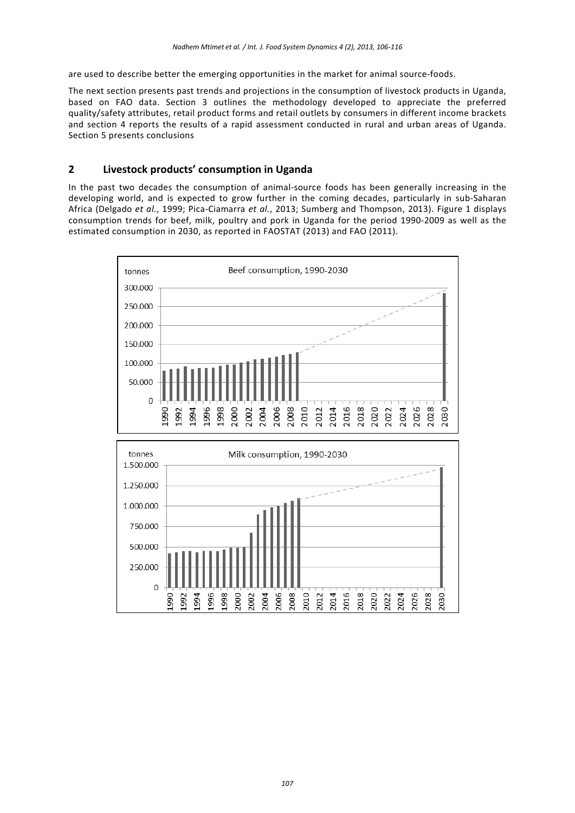are used to describe better the emerging opportunities in the market for animal source-foods.

The next section presents past trends and projections in the consumption of livestock products in Uganda, based on FAO data. Section 3 outlines the methodology developed to appreciate the preferred quality/safety attributes, retail product forms and retail outlets by consumers in different income brackets and section 4 reports the results of a rapid assessment conducted in rural and urban areas of Uganda. Section 5 presents conclusions

## **2 Livestock products' consumption in Uganda**

In the past two decades the consumption of animal-source foods has been generally increasing in the developing world, and is expected to grow further in the coming decades, particularly in sub-Saharan Africa (Delgado *et al.*, 1999; Pica-Ciamarra *et al.*, 2013; Sumberg and Thompson, 2013). Figure 1 displays consumption trends for beef, milk, poultry and pork in Uganda for the period 1990-2009 as well as the estimated consumption in 2030, as reported in FAOSTAT (2013) and FAO (2011).

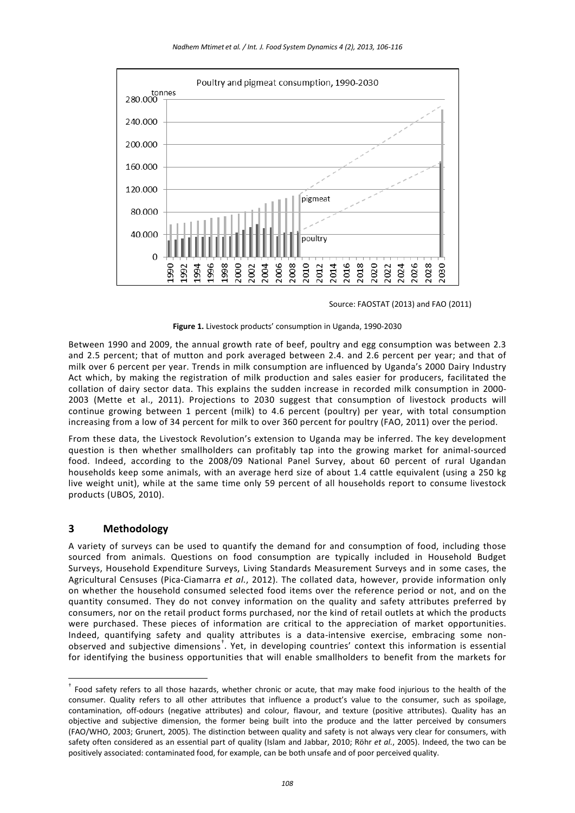

Source: FAOSTAT (2013) and FAO (2011)



Between 1990 and 2009, the annual growth rate of beef, poultry and egg consumption was between 2.3 and 2.5 percent; that of mutton and pork averaged between 2.4. and 2.6 percent per year; and that of milk over 6 percent per year. Trends in milk consumption are influenced by Uganda's 2000 Dairy Industry Act which, by making the registration of milk production and sales easier for producers, facilitated the collation of dairy sector data. This explains the sudden increase in recorded milk consumption in 2000- 2003 (Mette et al., 2011). Projections to 2030 suggest that consumption of livestock products will continue growing between 1 percent (milk) to 4.6 percent (poultry) per year, with total consumption increasing from a low of 34 percent for milk to over 360 percent for poultry (FAO, 2011) over the period.

From these data, the Livestock Revolution's extension to Uganda may be inferred. The key development question is then whether smallholders can profitably tap into the growing market for animal-sourced food. Indeed, according to the 2008/09 National Panel Survey, about 60 percent of rural Ugandan households keep some animals, with an average herd size of about 1.4 cattle equivalent (using a 250 kg live weight unit), while at the same time only 59 percent of all households report to consume livestock products (UBOS, 2010).

## **3 Methodology**

A variety of surveys can be used to quantify the demand for and consumption of food, including those sourced from animals. Questions on food consumption are typically included in Household Budget Surveys, Household Expenditure Surveys, Living Standards Measurement Surveys and in some cases, the Agricultural Censuses (Pica-Ciamarra *et al.*, 2012). The collated data, however, provide information only on whether the household consumed selected food items over the reference period or not, and on the quantity consumed. They do not convey information on the quality and safety attributes preferred by consumers, nor on the retail product forms purchased, nor the kind of retail outlets at which the products were purchased. These pieces of information are critical to the appreciation of market opportunities. Indeed, quantifying safety and quality attributes is a data-intensive exercise, embracing some non-observed and subjective dimensions<sup>[†](#page-2-0)</sup>. Yet, in developing countries' context this information is essential for identifying the business opportunities that will enable smallholders to benefit from the markets for

<span id="page-2-0"></span>† Food safety refers to all those hazards, whether chronic or acute, that may make food injurious to the health of the consumer. Quality refers to all other attributes that influence a product's value to the consumer, such as spoilage, contamination, off-odours (negative attributes) and colour, flavour, and texture (positive attributes). Quality has an objective and subjective dimension, the former being built into the produce and the latter perceived by consumers (FAO/WHO, 2003; Grunert, 2005). The distinction between quality and safety is not always very clear for consumers, with safety often considered as an essential part of quality (Islam and Jabbar, 2010; Röhr *et al.*, 2005). Indeed, the two can be positively associated: contaminated food, for example, can be both unsafe and of poor perceived quality.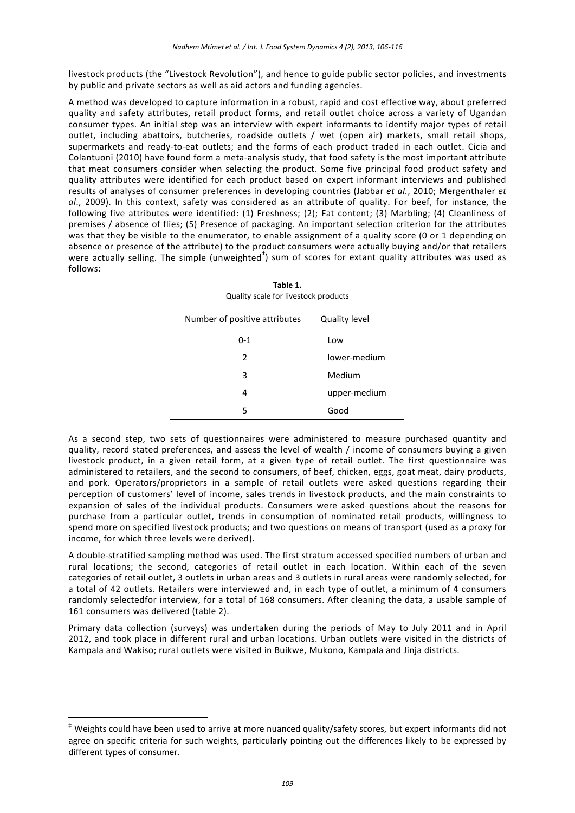livestock products (the "Livestock Revolution"), and hence to guide public sector policies, and investments by public and private sectors as well as aid actors and funding agencies.

A method was developed to capture information in a robust, rapid and cost effective way, about preferred quality and safety attributes, retail product forms, and retail outlet choice across a variety of Ugandan consumer types. An initial step was an interview with expert informants to identify major types of retail outlet, including abattoirs, butcheries, roadside outlets / wet (open air) markets, small retail shops, supermarkets and ready-to-eat outlets; and the forms of each product traded in each outlet. Cicia and Colantuoni (2010) have found form a meta-analysis study, that food safety is the most important attribute that meat consumers consider when selecting the product. Some five principal food product safety and quality attributes were identified for each product based on expert informant interviews and published results of analyses of consumer preferences in developing countries (Jabbar *et al.*, 2010; Mergenthaler *et al*., 2009). In this context, safety was considered as an attribute of quality. For beef, for instance, the following five attributes were identified: (1) Freshness; (2); Fat content; (3) Marbling; (4) Cleanliness of premises / absence of flies; (5) Presence of packaging. An important selection criterion for the attributes was that they be visible to the enumerator, to enable assignment of a quality score (0 or 1 depending on absence or presence of the attribute) to the product consumers were actually buying and/or that retailers were actually selling. The simple (unweighted $^{\dagger}$ ) sum of scores for extant quality attributes was used as follows:

| TODIE 1.<br>Quality scale for livestock products |                      |  |  |  |
|--------------------------------------------------|----------------------|--|--|--|
| Number of positive attributes                    | <b>Quality level</b> |  |  |  |
| $0 - 1$                                          | Low                  |  |  |  |
| 2                                                | lower-medium         |  |  |  |
| 3                                                | Medium               |  |  |  |
| 4                                                | upper-medium         |  |  |  |
| 5                                                | Good                 |  |  |  |

**Table 1.**

As a second step, two sets of questionnaires were administered to measure purchased quantity and quality, record stated preferences, and assess the level of wealth / income of consumers buying a given livestock product, in a given retail form, at a given type of retail outlet. The first questionnaire was administered to retailers, and the second to consumers, of beef, chicken, eggs, goat meat, dairy products, and pork. Operators/proprietors in a sample of retail outlets were asked questions regarding their perception of customers' level of income, sales trends in livestock products, and the main constraints to expansion of sales of the individual products. Consumers were asked questions about the reasons for purchase from a particular outlet, trends in consumption of nominated retail products, willingness to spend more on specified livestock products; and two questions on means of transport (used as a proxy for income, for which three levels were derived).

A double-stratified sampling method was used. The first stratum accessed specified numbers of urban and rural locations; the second, categories of retail outlet in each location. Within each of the seven categories of retail outlet, 3 outlets in urban areas and 3 outlets in rural areas were randomly selected, for a total of 42 outlets. Retailers were interviewed and, in each type of outlet, a minimum of 4 consumers randomly selectedfor interview, for a total of 168 consumers. After cleaning the data, a usable sample of 161 consumers was delivered (table 2).

Primary data collection (surveys) was undertaken during the periods of May to July 2011 and in April 2012, and took place in different rural and urban locations. Urban outlets were visited in the districts of Kampala and Wakiso; rural outlets were visited in Buikwe, Mukono, Kampala and Jinja districts.

<span id="page-3-0"></span> <sup>‡</sup> Weights could have been used to arrive at more nuanced quality/safety scores, but expert informants did not agree on specific criteria for such weights, particularly pointing out the differences likely to be expressed by different types of consumer.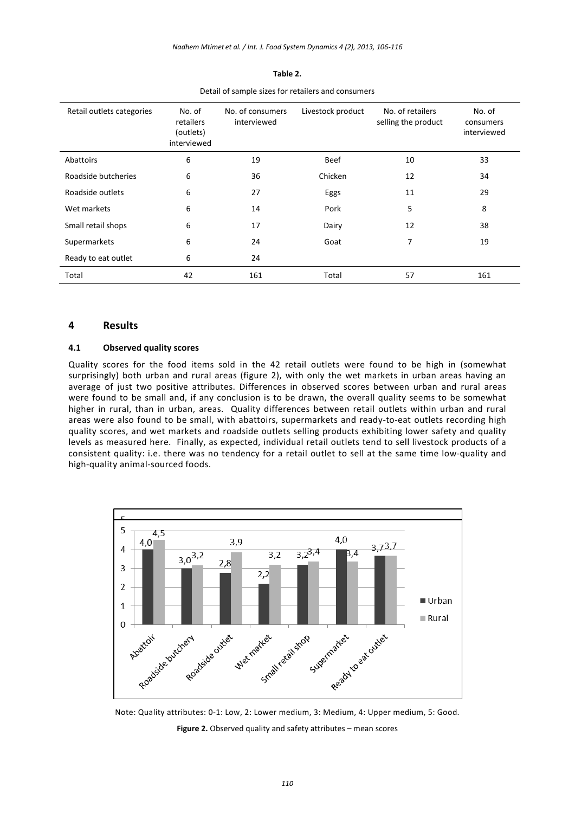| Retail outlets categories | No. of<br>retailers<br>(outlets)<br>interviewed | No. of consumers<br>interviewed | Livestock product | No. of retailers<br>selling the product | No. of<br>consumers<br>interviewed |
|---------------------------|-------------------------------------------------|---------------------------------|-------------------|-----------------------------------------|------------------------------------|
| Abattoirs                 | 6                                               | 19                              | <b>Beef</b>       | 10                                      | 33                                 |
| Roadside butcheries       | 6                                               | 36                              | Chicken           | 12                                      | 34                                 |
| Roadside outlets          | 6                                               | 27                              | Eggs              | 11                                      | 29                                 |
| Wet markets               | 6                                               | 14                              | Pork              | 5                                       | 8                                  |
| Small retail shops        | 6                                               | 17                              | Dairy             | 12                                      | 38                                 |
| Supermarkets              | 6                                               | 24                              | Goat              | 7                                       | 19                                 |
| Ready to eat outlet       | 6                                               | 24                              |                   |                                         |                                    |
| Total                     | 42                                              | 161                             | Total             | 57                                      | 161                                |

**Table 2.** Detail of sample sizes for retailers and consumers

### **4 Results**

#### **4.1 Observed quality scores**

Quality scores for the food items sold in the 42 retail outlets were found to be high in (somewhat surprisingly) both urban and rural areas (figure 2), with only the wet markets in urban areas having an average of just two positive attributes. Differences in observed scores between urban and rural areas were found to be small and, if any conclusion is to be drawn, the overall quality seems to be somewhat higher in rural, than in urban, areas. Quality differences between retail outlets within urban and rural areas were also found to be small, with abattoirs, supermarkets and ready-to-eat outlets recording high quality scores, and wet markets and roadside outlets selling products exhibiting lower safety and quality levels as measured here. Finally, as expected, individual retail outlets tend to sell livestock products of a consistent quality: i.e. there was no tendency for a retail outlet to sell at the same time low-quality and high-quality animal-sourced foods.



Note: Quality attributes: 0-1: Low, 2: Lower medium, 3: Medium, 4: Upper medium, 5: Good. **Figure 2.** Observed quality and safety attributes – mean scores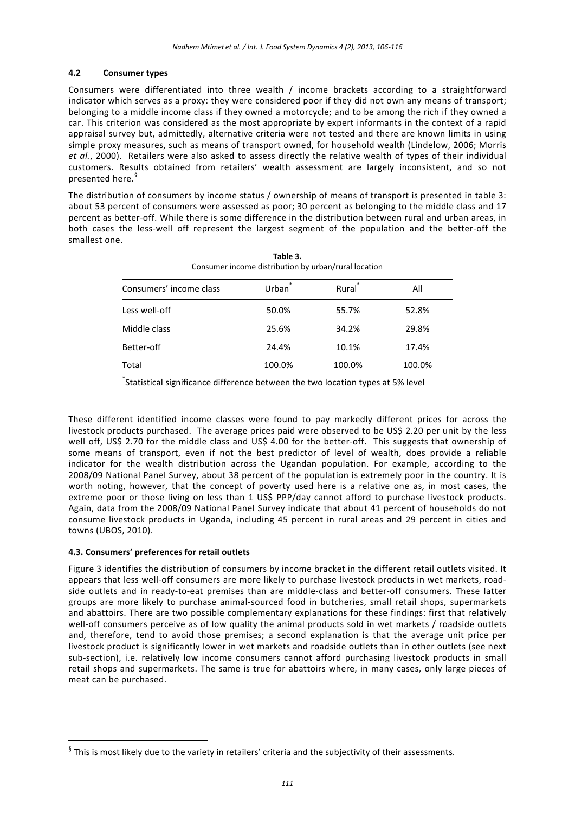#### **4.2 Consumer types**

Consumers were differentiated into three wealth / income brackets according to a straightforward indicator which serves as a proxy: they were considered poor if they did not own any means of transport; belonging to a middle income class if they owned a motorcycle; and to be among the rich if they owned a car. This criterion was considered as the most appropriate by expert informants in the context of a rapid appraisal survey but, admittedly, alternative criteria were not tested and there are known limits in using simple proxy measures, such as means of transport owned, for household wealth (Lindelow, 2006; Morris *et al.*, 2000). Retailers were also asked to assess directly the relative wealth of types of their individual customers. Results obtained from retailers' wealth assessment are largely inconsistent, and so not presented here.<sup>[§](#page-5-0)</sup>

The distribution of consumers by income status / ownership of means of transport is presented in table 3: about 53 percent of consumers were assessed as poor; 30 percent as belonging to the middle class and 17 percent as better-off. While there is some difference in the distribution between rural and urban areas, in both cases the less-well off represent the largest segment of the population and the better-off the smallest one.

| Table 3.<br>Consumer income distribution by urban/rural location |        |                    |        |  |  |  |
|------------------------------------------------------------------|--------|--------------------|--------|--|--|--|
| Consumers' income class                                          | Urban  | Rural <sup>*</sup> | All    |  |  |  |
| Less well-off                                                    | 50.0%  | 55.7%              | 52.8%  |  |  |  |
| Middle class                                                     | 25.6%  | 34.2%              | 29.8%  |  |  |  |
| Better-off                                                       | 24.4%  | 10.1%              | 17.4%  |  |  |  |
| Total                                                            | 100.0% | 100.0%             | 100.0% |  |  |  |

\* Statistical significance difference between the two location types at 5% level

These different identified income classes were found to pay markedly different prices for across the livestock products purchased. The average prices paid were observed to be US\$ 2.20 per unit by the less well off, US\$ 2.70 for the middle class and US\$ 4.00 for the better-off. This suggests that ownership of some means of transport, even if not the best predictor of level of wealth, does provide a reliable indicator for the wealth distribution across the Ugandan population. For example, according to the 2008/09 National Panel Survey, about 38 percent of the population is extremely poor in the country. It is worth noting, however, that the concept of poverty used here is a relative one as, in most cases, the extreme poor or those living on less than 1 US\$ PPP/day cannot afford to purchase livestock products. Again, data from the 2008/09 National Panel Survey indicate that about 41 percent of households do not consume livestock products in Uganda, including 45 percent in rural areas and 29 percent in cities and towns (UBOS, 2010).

#### **4.3. Consumers' preferences for retail outlets**

Figure 3 identifies the distribution of consumers by income bracket in the different retail outlets visited. It appears that less well-off consumers are more likely to purchase livestock products in wet markets, roadside outlets and in ready-to-eat premises than are middle-class and better-off consumers. These latter groups are more likely to purchase animal-sourced food in butcheries, small retail shops, supermarkets and abattoirs. There are two possible complementary explanations for these findings: first that relatively well-off consumers perceive as of low quality the animal products sold in wet markets / roadside outlets and, therefore, tend to avoid those premises; a second explanation is that the average unit price per livestock product is significantly lower in wet markets and roadside outlets than in other outlets (see next sub-section), i.e. relatively low income consumers cannot afford purchasing livestock products in small retail shops and supermarkets. The same is true for abattoirs where, in many cases, only large pieces of meat can be purchased.

<span id="page-5-0"></span> <sup>§</sup> This is most likely due to the variety in retailers' criteria and the subjectivity of their assessments.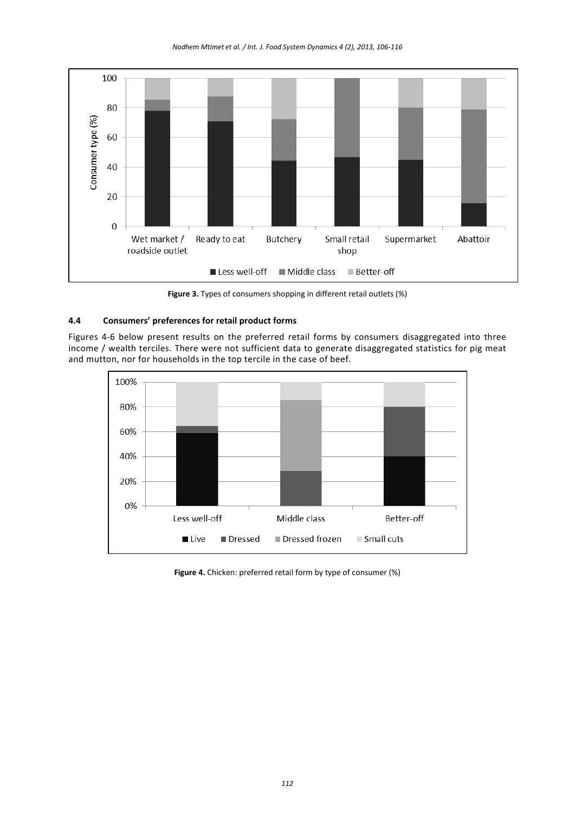*Nadhem Mtimet et al. / Int. J. Food System Dynamics 4 (2), 2013, 106-116*



**Figure 3.** Types of consumers shopping in different retail outlets (%)

## **4.4 Consumers' preferences for retail product forms**

Figures 4-6 below present results on the preferred retail forms by consumers disaggregated into three income / wealth terciles. There were not sufficient data to generate disaggregated statistics for pig meat and mutton, nor for households in the top tercile in the case of beef.



**Figure 4.** Chicken: preferred retail form by type of consumer (%)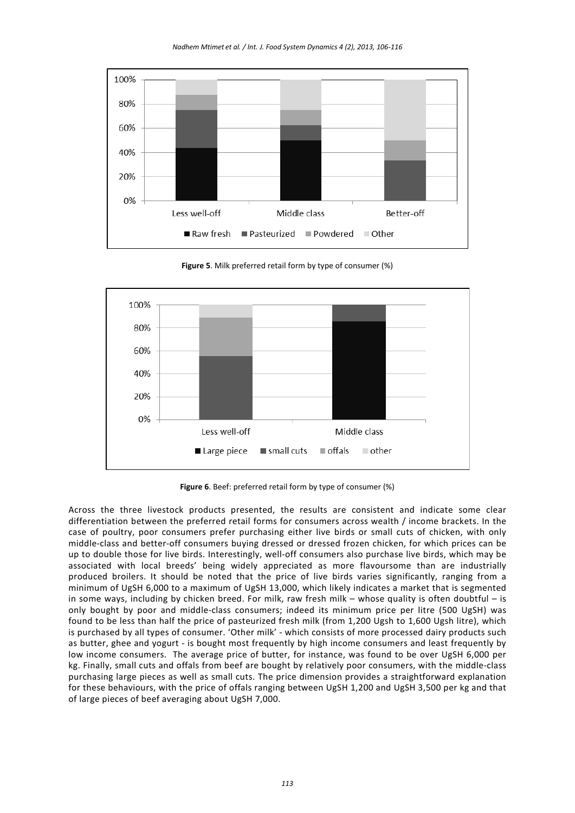*Nadhem Mtimet et al. / Int. J. Food System Dynamics 4 (2), 2013, 106-116*



**Figure 5**. Milk preferred retail form by type of consumer (%)



**Figure 6**. Beef: preferred retail form by type of consumer (%)

Across the three livestock products presented, the results are consistent and indicate some clear differentiation between the preferred retail forms for consumers across wealth / income brackets. In the case of poultry, poor consumers prefer purchasing either live birds or small cuts of chicken, with only middle-class and better-off consumers buying dressed or dressed frozen chicken, for which prices can be up to double those for live birds. Interestingly, well-off consumers also purchase live birds, which may be associated with local breeds' being widely appreciated as more flavoursome than are industrially produced broilers. It should be noted that the price of live birds varies significantly, ranging from a minimum of UgSH 6,000 to a maximum of UgSH 13,000, which likely indicates a market that is segmented in some ways, including by chicken breed. For milk, raw fresh milk – whose quality is often doubtful – is only bought by poor and middle-class consumers; indeed its minimum price per litre (500 UgSH) was found to be less than half the price of pasteurized fresh milk (from 1,200 Ugsh to 1,600 Ugsh litre), which is purchased by all types of consumer. 'Other milk' - which consists of more processed dairy products such as butter, ghee and yogurt - is bought most frequently by high income consumers and least frequently by low income consumers. The average price of butter, for instance, was found to be over UgSH 6,000 per kg. Finally, small cuts and offals from beef are bought by relatively poor consumers, with the middle-class purchasing large pieces as well as small cuts. The price dimension provides a straightforward explanation for these behaviours, with the price of offals ranging between UgSH 1,200 and UgSH 3,500 per kg and that of large pieces of beef averaging about UgSH 7,000.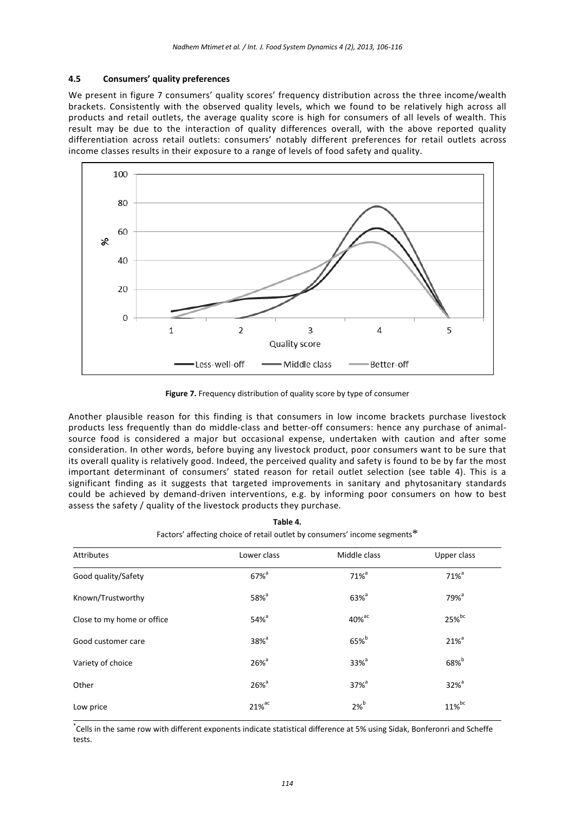#### **4.5 Consumers' quality preferences**

We present in figure 7 consumers' quality scores' frequency distribution across the three income/wealth brackets. Consistently with the observed quality levels, which we found to be relatively high across all products and retail outlets, the average quality score is high for consumers of all levels of wealth. This result may be due to the interaction of quality differences overall, with the above reported quality differentiation across retail outlets: consumers' notably different preferences for retail outlets across income classes results in their exposure to a range of levels of food safety and quality.



**Figure 7.** Frequency distribution of quality score by type of consumer

Another plausible reason for this finding is that consumers in low income brackets purchase livestock products less frequently than do middle-class and better-off consumers: hence any purchase of animalsource food is considered a major but occasional expense, undertaken with caution and after some consideration. In other words, before buying any livestock product, poor consumers want to be sure that its overall quality is relatively good. Indeed, the perceived quality and safety is found to be by far the most important determinant of consumers' stated reason for retail outlet selection (see table 4). This is a significant finding as it suggests that targeted improvements in sanitary and phytosanitary standards could be achieved by demand-driven interventions, e.g. by informing poor consumers on how to best assess the safety / quality of the livestock products they purchase.

| Factors' affecting choice of retail outlet by consumers' income segments." |                      |                     |                     |  |  |
|----------------------------------------------------------------------------|----------------------|---------------------|---------------------|--|--|
| Attributes                                                                 | Lower class          | Middle class        | Upper class         |  |  |
| Good quality/Safety                                                        | $67\%$ <sup>a</sup>  | $71\%$ <sup>a</sup> | $71\%$ <sup>a</sup> |  |  |
| Known/Trustworthy                                                          | $58\%$ <sup>a</sup>  | $63\%$ <sup>a</sup> | $79%$ <sup>a</sup>  |  |  |
| Close to my home or office                                                 | $54\%$ <sup>a</sup>  | 40% <sup>ac</sup>   | 25%bc               |  |  |
| Good customer care                                                         | $38\%$ <sup>a</sup>  | 65% <sup>b</sup>    | $21\%$ <sup>a</sup> |  |  |
| Variety of choice                                                          | $26\%$ <sup>a</sup>  | $33\%$ <sup>a</sup> | $68\%$              |  |  |
| Other                                                                      | $26\%$ <sup>a</sup>  | $37\%$ <sup>a</sup> | $32\%$ <sup>a</sup> |  |  |
| Low price                                                                  | $21\%$ <sup>ac</sup> | $2%^{b}$            | 11%bc               |  |  |

**Table 4.** Factors' affecting choice of retail outlet by consumers' income segments<sup>\*</sup>

\* Cells in the same row with different exponents indicate statistical difference at 5% using Sidak, Bonferonri and Scheffe tests.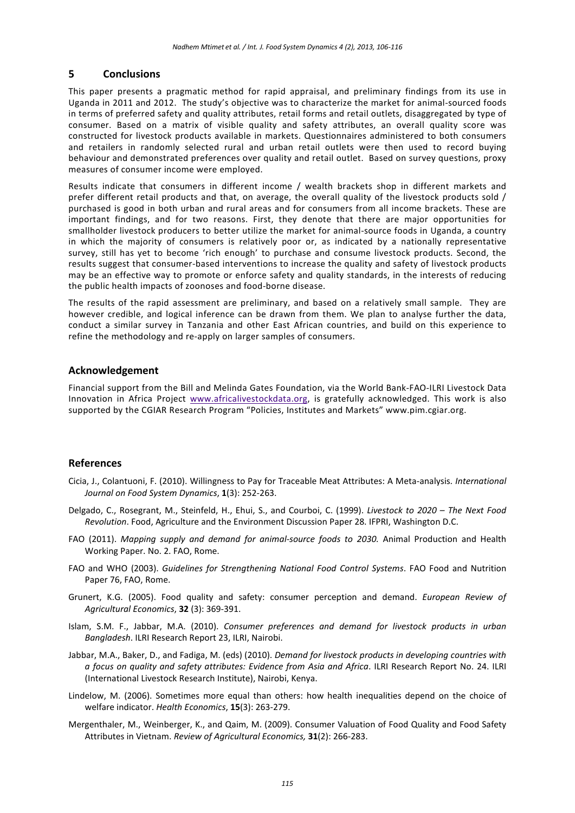## **5 Conclusions**

This paper presents a pragmatic method for rapid appraisal, and preliminary findings from its use in Uganda in 2011 and 2012. The study's objective was to characterize the market for animal-sourced foods in terms of preferred safety and quality attributes, retail forms and retail outlets, disaggregated by type of consumer. Based on a matrix of visible quality and safety attributes, an overall quality score was constructed for livestock products available in markets. Questionnaires administered to both consumers and retailers in randomly selected rural and urban retail outlets were then used to record buying behaviour and demonstrated preferences over quality and retail outlet. Based on survey questions, proxy measures of consumer income were employed.

Results indicate that consumers in different income / wealth brackets shop in different markets and prefer different retail products and that, on average, the overall quality of the livestock products sold / purchased is good in both urban and rural areas and for consumers from all income brackets. These are important findings, and for two reasons. First, they denote that there are major opportunities for smallholder livestock producers to better utilize the market for animal-source foods in Uganda, a country in which the majority of consumers is relatively poor or, as indicated by a nationally representative survey, still has yet to become 'rich enough' to purchase and consume livestock products. Second, the results suggest that consumer-based interventions to increase the quality and safety of livestock products may be an effective way to promote or enforce safety and quality standards, in the interests of reducing the public health impacts of zoonoses and food-borne disease.

The results of the rapid assessment are preliminary, and based on a relatively small sample. They are however credible, and logical inference can be drawn from them. We plan to analyse further the data, conduct a similar survey in Tanzania and other East African countries, and build on this experience to refine the methodology and re-apply on larger samples of consumers.

## **Acknowledgement**

Financial support from the Bill and Melinda Gates Foundation, via the World Bank-FAO-ILRI Livestock Data Innovation in Africa Project [www.africalivestockdata.org,](http://www.africalivestockdata.org/) is gratefully acknowledged. This work is also supported by the CGIAR Research Program "Policies, Institutes and Markets" www.pim.cgiar.org.

## **References**

- Cicia, J., Colantuoni, F. (2010). Willingness to Pay for Traceable Meat Attributes: A Meta-analysis. *International Journal on Food System Dynamics*, **1**(3): 252-263.
- Delgado, C., Rosegrant, M., Steinfeld, H., Ehui, S., and Courboi, C. (1999). *Livestock to 2020 – The Next Food Revolution*. Food, Agriculture and the Environment Discussion Paper 28. IFPRI, Washington D.C.
- FAO (2011). *Mapping supply and demand for animal-source foods to 2030.* Animal Production and Health Working Paper. No. 2. FAO, Rome.
- FAO and WHO (2003). *Guidelines for Strengthening National Food Control Systems*. FAO Food and Nutrition Paper 76, FAO, Rome.
- Grunert, K.G. (2005). Food quality and safety: consumer perception and demand. *European Review of Agricultural Economics*, **32** (3): 369-391.
- Islam, S.M. F., Jabbar, M.A. (2010). *Consumer preferences and demand for livestock products in urban Bangladesh*. ILRI Research Report 23, ILRI, Nairobi.
- Jabbar, M.A., Baker, D., and Fadiga, M. (eds) (2010). *Demand for livestock products in developing countries with a focus on quality and safety attributes: Evidence from Asia and Africa*. ILRI Research Report No. 24. ILRI (International Livestock Research Institute), Nairobi, Kenya.
- Lindelow, M. (2006). Sometimes more equal than others: how health inequalities depend on the choice of welfare indicator. *Health Economics*, **15**(3): 263-279.
- Mergenthaler, M., Weinberger, K., and Qaim, M. (2009). Consumer Valuation of Food Quality and Food Safety Attributes in Vietnam. *Review of Agricultural Economics,* **31**(2): 266-283.